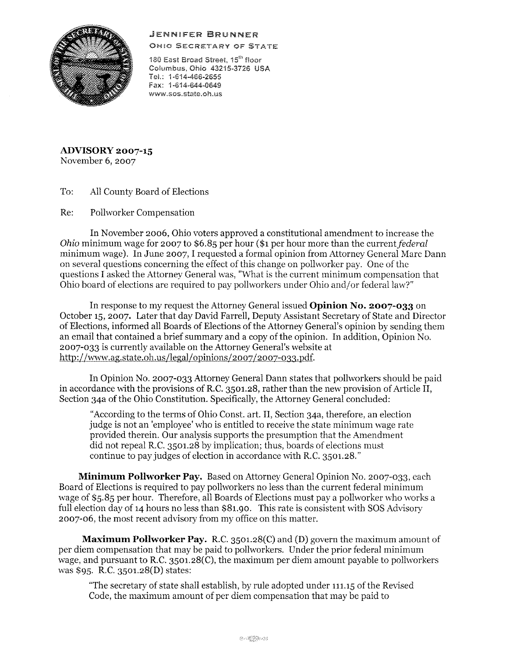## JENNIFER BRUNNER



OHIO SECRETARY OF STATE

180 East Broad Street, 15<sup>th</sup> floor Columbus, Ohio 43215-3726 USA Tel.. 1·614-466-2655 Fax: 1-614-644-0649 www.sos.state.oh.us

**ADVISORY 2007-15**  November 6, 2007

To: All County Board of Elections

Re: Pollworker Compensation

In November 2006, Ohio voters approved a constitutional amendment to increase the *Ohio* minimum wage for 2007 to \$6.85 per hour (\$1 per hour more than the current federal minimum wage). In June 2007, I requested a formal opinion from Attorney General Marc Dann on several questions concerning the effect of this change on pollworker pay. One of the questions I asked the Attorney General was, "What is the current minimum compensation that Ohio board of elections are required to pay pollworkers under Ohio and/or federal law?"

In response to my request the Attorney General issued **Opinion No. 2007-033** on October 15, 2007. Later that day David Farrell, Deputy Assistant Secretary of State and Director of Elections, informed all Boards of Elections of the Attorney General's opinion by sending them an email that contained a brief summary and a copy of the opinion. In addition, Opinion No. 2007-033 is currently available on the Attorney General's website at http://www.ag.state.oh.us/legal/opinions/2007/2007-033.pdf.

In Opinion No. 2007-033 Attorney General Dann states that pollworkers should be paid in accordance with the provisions of R.C. 3501.28, rather than the new provision of Article II, Section 34a of the Ohio Constitution. Specifically, the Attorney General concluded:

"According to the terms of Ohio Const. art. II, Section 34a, therefore, an election judge is not an 'employee' who is entitled to receive the state minimum wage rate provided therein. Our analysis supports the presumption that the Amendment did not repeal R.C. 3501.28 by implication; thus, boards of elections must continue to pay judges of election in accordance with R.C. 3501.28."

**Minimum Pollworker Pay.** Based on Attorney General Opinion No. 2007-033, each Board of Elections is required to pay pollworkers no less than the current federal minimum wage of \$5.85 per hour. Therefore, all Boards of Elections must pay a pollworker who works a full election day of 14 hours no less than \$81.90. This rate is consistent with SOS Advisory 2007-06, the most recent advisory from my office on this matter.

**Maximum Pollworker Pay.** R.C. 3501.28(C) and (D) govern the maximum amount of per diem compensation that may be paid to pollworkers. Under the prior federal minimum wage, and pursuant to R.C. 3501.28(C), the maximum per diem amount payable to pollworkers was \$95. R.C. 3501.28(D) states:

"The secretary of state shall establish, by rule adopted under 111.15 of the Revised Code, the maximum amount of per diem compensation that may be paid to